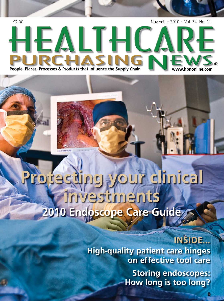

# **Protecting your clinical investments 2010 Endoscope Care Guide**

**INSIDE... High-quality patient care hinges on effective tool care**

> **Storing endoscopes: How long is too long?**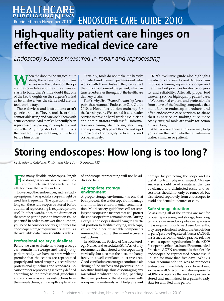### HEALTHCARE ENDOSCOPE CARE GUIDE 2010 Reprinted from November 2010 **High-quality patient care hinges on effective medical device care**

*Endoscopy success measured in repair and reprocessing*

**W** shuts, the nurses position them-<br>selves near the patient on the operating room table and the clinical tension shuts, the nurses position themselves near the patient on the operating room table and the clinical tension starts to build there's little doubt that one of the key thoughts on the surgeon's mind as he or she enters the sterile field are the tools on the tray.

Those devices and instruments aren't generic products. They're tools he or she is comfortable using and can wield them with acute expertise. And they've hopefully been reprocessed or packaged completely and correctly. Anything short of that impacts the health of the patient lying on the table before him or her.

Certainly, tools do not make the heavily educated and trained professional who works with them. Instead they can affect the clinical outcome of the patient, which in turn reverberates throughout the healthcare delivery chain.

That's why *Healthcare Purchasing News* publishes its annual Endoscope Care Guide 2010, a November edition mainstay for the last six years. We created it as a reader service to provide hard-working clinicians and administrators with useful information on cleaning, disinfecting, sterilizing and repairing all types of flexible and rigid endoscopes thoroughly, efficiently and cost-effectively.

*HPN*'s exclusive guide also highlights the obvious and overlooked dangers from improper cleaning, repair and storage, and identifies best practices for device longevity and reliability. After all, proper tool care can produce high-quality patient care.

We recruited experts and professionals from some of the leading companies that manufacture endoscopic products and offer endoscopic care services to share their expertise on making sure these costly surgical tools are ready for action all year long.

What you read here and learn may help you down the road, whether an administrator, clinician or patient.

### **Storing endoscopes: How long is too long?**

*by Bradley J. Catalone, Ph.D., and Mary Ann Drosnock, MS*

**For many flexible endoscopes, length**<br>of storage is not an issue because they<br>are routinely used and rarely remain<br>idle for more than a day or two of storage is not an issue because they are routinely used and rarely remain idle for more than a day or two.

However, other endoscopes, such as backup equipment or specialty scopes, might be used less frequently. The question is, how long can these idle scopes be stored before additional reprocessing is required prior to use? In other words, does the duration of the storage period pose an infection risk to patients? In order to answer that question, you need to consider society guidelines for endoscope storage requirements, as well as the available data from scientific studies.

#### **Professional society guidelines**

Before we can evaluate how long a scope can remain in storage and safely stay patient-ready, we have to start with the premise that the scopes are reprocessed properly and stored properly, according to professional guidelines and standards. Because proper reprocessing is clearly defined according to the professional guidelines and standards, as well as instructions from the manufacturer, an in-depth explanation of endoscope reprocessing will not be addressed here.

#### **Appropriate storage environment**

A proper storage environment is one that both protects the endoscope from damage and minimizes environmental contamination. Multi-society guidelines call for storing endoscopes in a manner that will protect the endoscope from contamination. During storage, endoscopes should hang in a vertical position to facilitate drying, with caps, valves and other detachable components removed following the manufacturer's instructions.

In addition, the Society of Gastroenterology Nurses and Associates (SGNA) not only recommends that stored endoscopes hang vertically, but also that the distal tip hangs freely in a well-ventilated, dust-free area. Good ventilation encourages continued air drying of the surfaces and prevents undue moisture build-up, thus discouraging any microbial proliferation. Also, padding the lower portion of the storage area with non-porous materials will help prevent

damage by protecting the scope and its distal tip from physical impact. Storage surfaces should be of a material that can be cleaned and disinfected easily and accessories should not only be removed, but also stored separately from endoscopes to avoid accidental punctures or cuts.

#### **Safe storage duration**

So assuming all of the criteria are met for proper reprocessing and storage, how long can you store an endoscope before reprocessing is required prior to next use? Currently, only one professional society, the Association of periOperative Registered Nurses (AORN), has issued a recommended practice relative to endoscope storage duration. In their 2009 Perioperative Standards and Recommended Practices, AORN recommends that flexible endoscopes be reprocessed before use if unused for more than five days. AORN's prior recommendation was to reprocess endoscopes immediately prior to next use, so this new 2009 recommendation represents AORN's acceptance that endoscopes can be stored and maintained in a patient-ready state for a limited time period.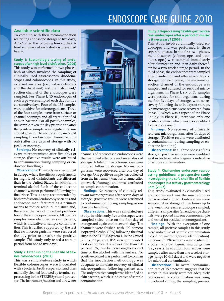### ENDOSCOPE CARE GUIDE 2010

#### **Available scientific data**

To come up with their recommendation restricting endoscope storage to five days, AORN cited the following four studies. A brief summary of each study is presented below.

**Study 1: Bacteriologic testing of endoscopes after high-level disinfection. (2004)** This study was performed in two phases, both of which involved the sampling of clinically used gastroscopes, duodenoscopes and colonoscopes. In this study, external surfaces (i.e., valve cylinders and the distal end) and the instrument/ suction channel of the endoscopes were sampled. For Phase I, 15 endoscopes of each type were sampled each day for five consecutive days. Four of the 135 samples were positive for microorganisms. Three of the four samples were from surface or channel openings and all were identified as skin bacteria. For all positive samples, the sample taken the day prior to and after the positive sample was negative for microbial growth. The second study involved sampling 10 endoscopes (channel sample only) after five days of storage with no positive recovery.

**Findings:** No recovery of clinically relevant microorganisms after five days of storage. (Positive results were attributed to contamination during sampling or endoscope handling.)

**Observations:** This study was performed in Europe where the efficacy requirements for high-level disinfectants are different than in the United States. In addition, a terminal alcohol flush of the endoscope channels was not performed following the final rinse. This is a step recommended by both professional endoscopy societies and endoscope manufacturers as a primary means to reduce residual moisture and, therefore, the risk of microbial proliferation in the endoscope channels. All positive samples were identified as skin bacteria, which is indicative of sample contamination. This is further supported by the fact that no microorganisms were recovered the day prior to or after the positive sample. This study only tested a storage period from one to five days.

#### **Study 2: Establishing the shelf life of flexible colonoscopes. (2002)**

This was a simulated-use study in which flexible colonoscopes were inoculated with a bacterial broth suspension and then manually cleaned followed by terminal reprocessing in the STERIS System 1 processor. The instrument/suction and air/water



channels of reprocessed endoscopes were then sampled after one and seven days of storage. A total of five colonoscopes were cultured following storage. No microorganisms were recovered after one day of storage. One positive sample was collected from the instrument/suction channel after one week of storage, and it was attributed to sample contamination.

**Findings:** No recovery of clinically relevant microorganisms after seven days of storage. (Positive results were attributed to contamination during sampling or endoscope handling.)

**Observations:** This was a simulated-use study, in which only five endoscopes were sampled twice, once on the first day of storage and again on the seventh day. The channels were flushed with 100 percent isopropyl alcohol (IPA) following the final rinse in the STERIS System 1. In the United States, 70 percent IPA is recommended as it evaporates at a slower rate than 100 percent IPA, thereby increasing the contact time of the alcohol with the surface. No positive control was performed to confirm that the inoculation methodology was adequate to simulate recovery of clinical microorganisms following patient use. The only positive sample was identified as skin bacteria, which is indicative of sample contamination.

#### **Study 3: Reprocessing flexible gastrointestinal endoscopes after a period of disuse: Is it necessary? (2007)**

This study involved clinically used endoscopes and was performed in three separate phases. In the first two phases, the endoscopes (colonoscopes and duodenoscopes) were sampled immediately after disinfection and then daily thereafter for a two-week storage period. In the third phase, the endoscopes were sampled after disinfection and after seven days of storage. For each phase, the instrument/ suction channel of the endoscope was sampled and cultured for residual microorganisms. In Phase I, six of 70 samples were positive for skin organisms during the first five days of storage, with no recovery following six to 14 days of storage. No microorganisms were recovered from Phase II, which was a repeat of the Phase I study. In Phase III, there was only one positive culture, which was also identified as a skin organism.

**Findings:** No recovery of clinically relevant microorganisms after 14 days of storage. (Positive results were attributed to contamination during sampling or endoscope handling.)

**Observations:** In all three phases of this study, all positive samples were identified as skin bacteria, which again is indicative of sample contamination.

#### **Study 4: Challenging endoscopy reprocessing guidelines: a prospective study**  investigating the safe shelf life of flexible **endoscopes in a tertiary gastroenterology unit. (2007)**

This study evaluated 23 clinically used endoscopes and was the most comprehensive study cited. Endoscopes were sampled after storage of five hours up to one week. For each endoscope sampled, different sample sites (all endoscope channels) were pooled into one common sample and tested for residual microorganisms.

**Findings:** With the exception of one sample, all positive samples in this study were indicative of sample contamination (based on microorganism identification). Only one in 194 samples was positive for a potentially pathogenic microorganism (i.e., yeast). In addition, four scopes were sampled after more than one week of storage (range 10-445 days) and were negative for microbial contamination.

**Observations:** The overall contamination rate of 15.5 percent suggests that the scopes in this study were not adequately reprocessed or contamination was being introduced during the sampling process.